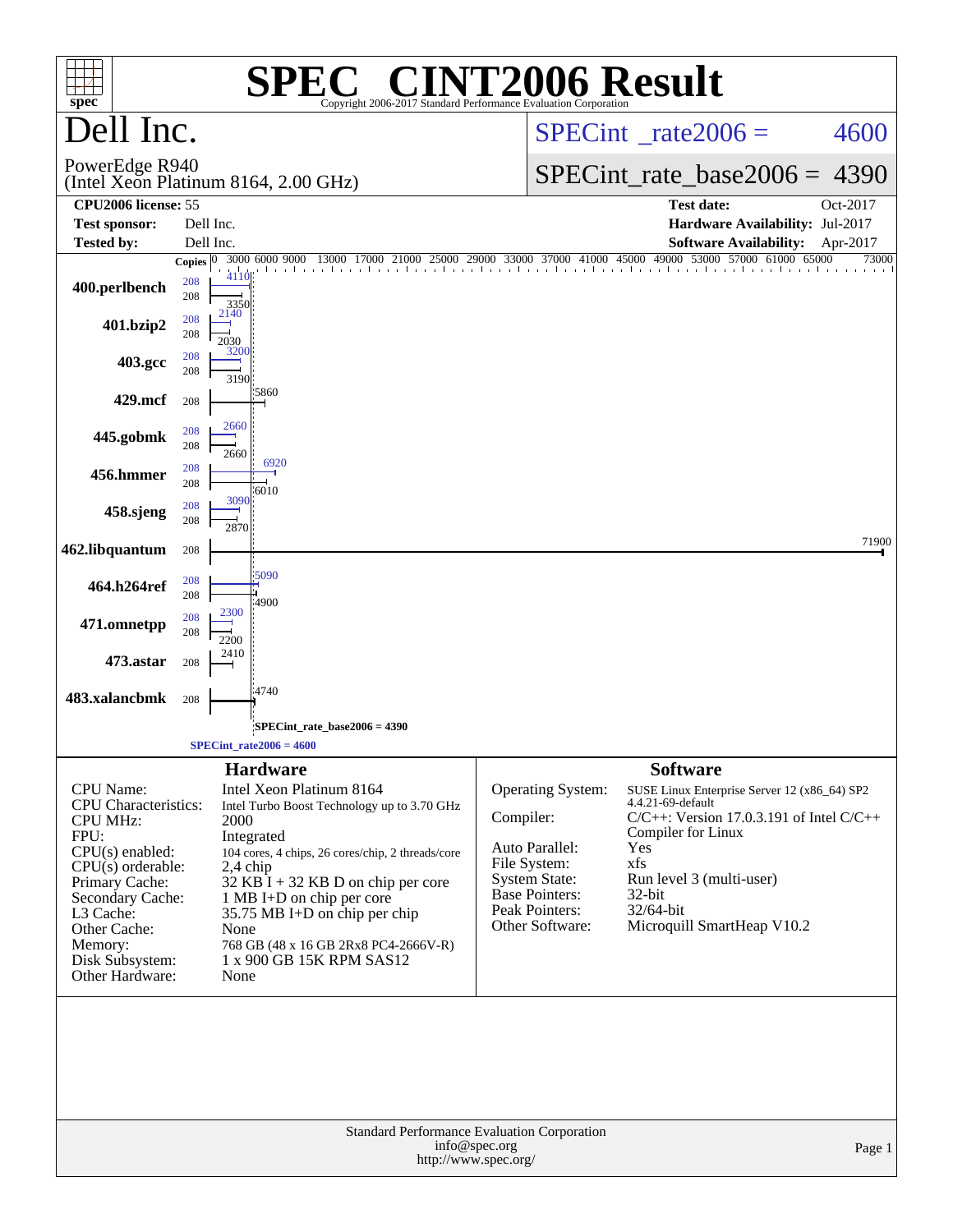| $spec^*$                                                                                                                                                                                                                            |                           |                                    | <b>SPEC<sup>®</sup> CINT2006 Result</b><br>Copyright 2006-2017 Standard Performance Evaluation Corporation                                                                                                                                                                                                                            |                           |                                                                                                                           |                                                                                                                                                                                                                                                            |                   |
|-------------------------------------------------------------------------------------------------------------------------------------------------------------------------------------------------------------------------------------|---------------------------|------------------------------------|---------------------------------------------------------------------------------------------------------------------------------------------------------------------------------------------------------------------------------------------------------------------------------------------------------------------------------------|---------------------------|---------------------------------------------------------------------------------------------------------------------------|------------------------------------------------------------------------------------------------------------------------------------------------------------------------------------------------------------------------------------------------------------|-------------------|
| Dell Inc.                                                                                                                                                                                                                           |                           |                                    |                                                                                                                                                                                                                                                                                                                                       |                           | $SPECint^{\circ}$ rate $2006 =$                                                                                           | 4600                                                                                                                                                                                                                                                       |                   |
| PowerEdge R940                                                                                                                                                                                                                      |                           |                                    | (Intel Xeon Platinum 8164, 2.00 GHz)                                                                                                                                                                                                                                                                                                  |                           | $SPECint_rate_base2006 =$                                                                                                 | 4390                                                                                                                                                                                                                                                       |                   |
| CPU <sub>2006</sub> license: 55                                                                                                                                                                                                     |                           |                                    |                                                                                                                                                                                                                                                                                                                                       |                           |                                                                                                                           | <b>Test date:</b>                                                                                                                                                                                                                                          | Oct-2017          |
| <b>Test sponsor:</b>                                                                                                                                                                                                                | Dell Inc.                 |                                    |                                                                                                                                                                                                                                                                                                                                       |                           |                                                                                                                           | Hardware Availability: Jul-2017                                                                                                                                                                                                                            |                   |
| <b>Tested by:</b>                                                                                                                                                                                                                   | Dell Inc.<br>Copies $ 0 $ |                                    | 3000 6000 9000<br>13000<br>17000                                                                                                                                                                                                                                                                                                      |                           | 21000 25000 29000 33000 37000 41000 45000 49000                                                                           | <b>Software Availability:</b><br>53000 57000 61000 65000                                                                                                                                                                                                   | Apr-2017<br>73000 |
| 400.perlbench                                                                                                                                                                                                                       | 208<br>208                | 4110<br>3350                       |                                                                                                                                                                                                                                                                                                                                       |                           |                                                                                                                           |                                                                                                                                                                                                                                                            |                   |
| 401.bzip2                                                                                                                                                                                                                           | 208<br>208                | 2140<br>2030                       |                                                                                                                                                                                                                                                                                                                                       |                           |                                                                                                                           |                                                                                                                                                                                                                                                            |                   |
| 403.gcc                                                                                                                                                                                                                             | 208<br>208                | 3200<br>3190                       |                                                                                                                                                                                                                                                                                                                                       |                           |                                                                                                                           |                                                                                                                                                                                                                                                            |                   |
| 429.mcf                                                                                                                                                                                                                             | 208                       |                                    | 5860                                                                                                                                                                                                                                                                                                                                  |                           |                                                                                                                           |                                                                                                                                                                                                                                                            |                   |
| 445.gobmk                                                                                                                                                                                                                           | 208<br>208                | 2660<br>2660                       |                                                                                                                                                                                                                                                                                                                                       |                           |                                                                                                                           |                                                                                                                                                                                                                                                            |                   |
| 456.hmmer                                                                                                                                                                                                                           | 208<br>208                |                                    | 6920<br>6010                                                                                                                                                                                                                                                                                                                          |                           |                                                                                                                           |                                                                                                                                                                                                                                                            |                   |
| 458.sjeng                                                                                                                                                                                                                           | 208<br>208                | 3090<br>2870                       |                                                                                                                                                                                                                                                                                                                                       |                           |                                                                                                                           |                                                                                                                                                                                                                                                            |                   |
| 462.libquantum                                                                                                                                                                                                                      | 208                       |                                    |                                                                                                                                                                                                                                                                                                                                       |                           |                                                                                                                           |                                                                                                                                                                                                                                                            | 71900             |
| 464.h264ref                                                                                                                                                                                                                         | 208<br>208                |                                    | 5090<br>4900                                                                                                                                                                                                                                                                                                                          |                           |                                                                                                                           |                                                                                                                                                                                                                                                            |                   |
| 471.omnetpp                                                                                                                                                                                                                         | 208<br>208                | 2300<br>2200                       |                                                                                                                                                                                                                                                                                                                                       |                           |                                                                                                                           |                                                                                                                                                                                                                                                            |                   |
| 473.astar                                                                                                                                                                                                                           | 208                       | 2410                               |                                                                                                                                                                                                                                                                                                                                       |                           |                                                                                                                           |                                                                                                                                                                                                                                                            |                   |
| 483.xalancbmk                                                                                                                                                                                                                       | 208                       |                                    | 4740                                                                                                                                                                                                                                                                                                                                  |                           |                                                                                                                           |                                                                                                                                                                                                                                                            |                   |
|                                                                                                                                                                                                                                     |                           |                                    | $SPECint_rate_base2006 = 4390$<br>$SPECint_rate2006 = 4600$                                                                                                                                                                                                                                                                           |                           |                                                                                                                           |                                                                                                                                                                                                                                                            |                   |
|                                                                                                                                                                                                                                     |                           |                                    |                                                                                                                                                                                                                                                                                                                                       |                           |                                                                                                                           |                                                                                                                                                                                                                                                            |                   |
| CPU Name:<br><b>CPU</b> Characteristics:<br><b>CPU MHz:</b><br>FPU:<br>$CPU(s)$ enabled:<br>$CPU(s)$ orderable:<br>Primary Cache:<br>Secondary Cache:<br>L3 Cache:<br>Other Cache:<br>Memory:<br>Disk Subsystem:<br>Other Hardware: |                           | 2000<br>$2,4$ chip<br>None<br>None | <b>Hardware</b><br>Intel Xeon Platinum 8164<br>Intel Turbo Boost Technology up to 3.70 GHz<br>Integrated<br>104 cores, 4 chips, 26 cores/chip, 2 threads/core<br>32 KB I + 32 KB D on chip per core<br>1 MB I+D on chip per core<br>35.75 MB I+D on chip per chip<br>768 GB (48 x 16 GB 2Rx8 PC4-2666V-R)<br>1 x 900 GB 15K RPM SAS12 | Compiler:<br>File System: | Operating System:<br>Auto Parallel:<br><b>System State:</b><br><b>Base Pointers:</b><br>Peak Pointers:<br>Other Software: | <b>Software</b><br>SUSE Linux Enterprise Server 12 (x86_64) SP2<br>4.4.21-69-default<br>$C/C++$ : Version 17.0.3.191 of Intel $C/C++$<br>Compiler for Linux<br>Yes<br>xfs<br>Run level 3 (multi-user)<br>32-bit<br>32/64-bit<br>Microquill SmartHeap V10.2 |                   |
|                                                                                                                                                                                                                                     |                           |                                    | Standard Performance Evaluation Corporation<br>info@spec.org<br>http://www.spec.org/                                                                                                                                                                                                                                                  |                           |                                                                                                                           |                                                                                                                                                                                                                                                            | Page 1            |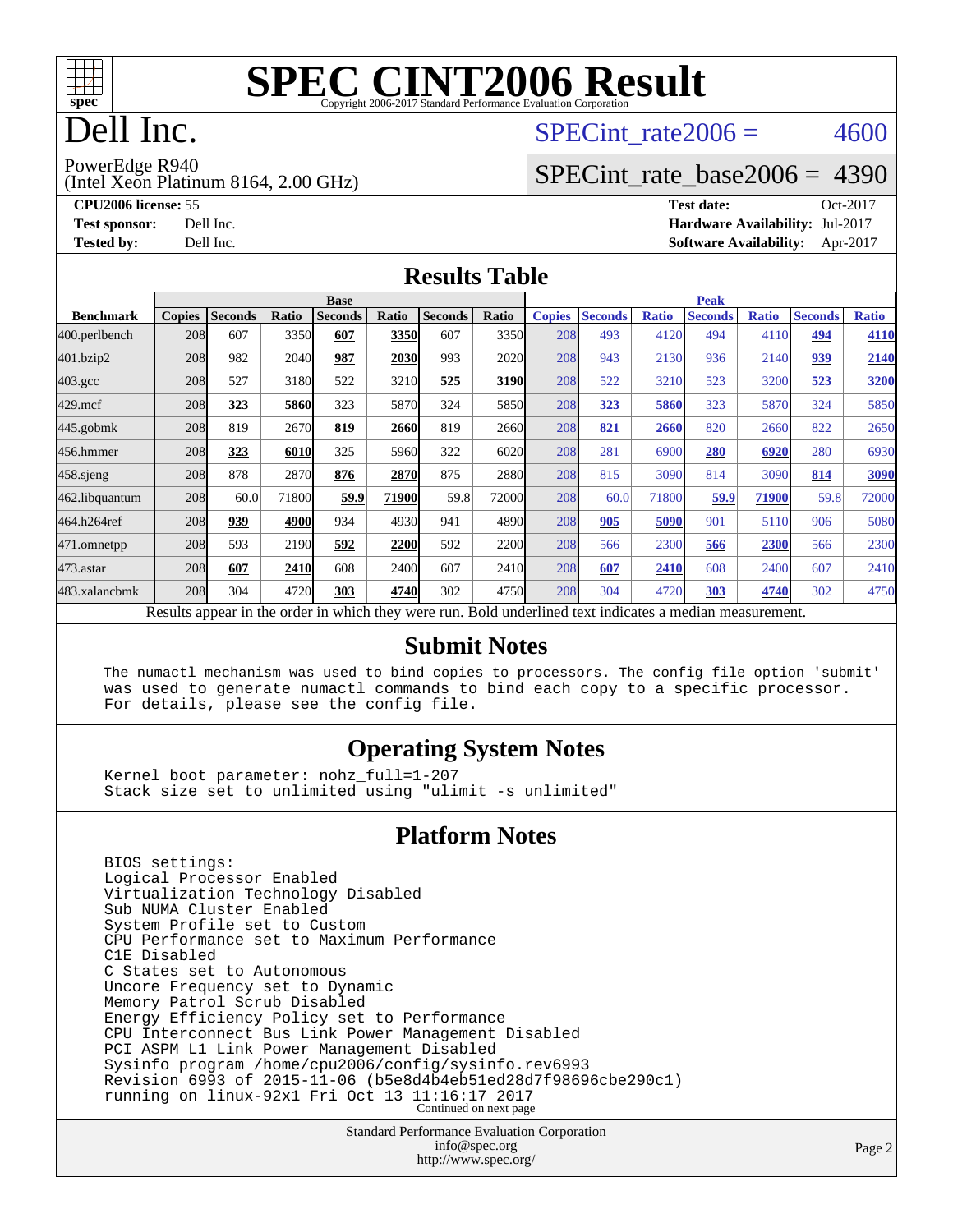

# Dell Inc.

### SPECint rate $2006 = 4600$

PowerEdge R940

(Intel Xeon Platinum 8164, 2.00 GHz)

**[CPU2006 license:](http://www.spec.org/auto/cpu2006/Docs/result-fields.html#CPU2006license)** 55 **[Test date:](http://www.spec.org/auto/cpu2006/Docs/result-fields.html#Testdate)** Oct-2017

[SPECint\\_rate\\_base2006 =](http://www.spec.org/auto/cpu2006/Docs/result-fields.html#SPECintratebase2006) 4390

**[Test sponsor:](http://www.spec.org/auto/cpu2006/Docs/result-fields.html#Testsponsor)** Dell Inc. **[Hardware Availability:](http://www.spec.org/auto/cpu2006/Docs/result-fields.html#HardwareAvailability)** Jul-2017 **[Tested by:](http://www.spec.org/auto/cpu2006/Docs/result-fields.html#Testedby)** Dell Inc. **[Software Availability:](http://www.spec.org/auto/cpu2006/Docs/result-fields.html#SoftwareAvailability)** Apr-2017

### **[Results Table](http://www.spec.org/auto/cpu2006/Docs/result-fields.html#ResultsTable)**

|                                                                                                          | <b>Base</b>   |                |       |                |       |                | <b>Peak</b> |               |                |              |                |              |                |              |
|----------------------------------------------------------------------------------------------------------|---------------|----------------|-------|----------------|-------|----------------|-------------|---------------|----------------|--------------|----------------|--------------|----------------|--------------|
| <b>Benchmark</b>                                                                                         | <b>Copies</b> | <b>Seconds</b> | Ratio | <b>Seconds</b> | Ratio | <b>Seconds</b> | Ratio       | <b>Copies</b> | <b>Seconds</b> | <b>Ratio</b> | <b>Seconds</b> | <b>Ratio</b> | <b>Seconds</b> | <b>Ratio</b> |
| 400.perlbench                                                                                            | 208           | 607            | 3350  | 607            | 3350  | 607            | 3350        | 208           | 493            | 4120         | 494            | 4110         | 494            | 4110         |
| 401.bzip2                                                                                                | 208           | 982            | 2040  | 987            | 2030  | 993            | 2020        | 208           | 943            | 2130         | 936            | 2140         | 939            | 2140         |
| $403.\mathrm{gcc}$                                                                                       | 208           | 527            | 3180  | 522            | 3210  | 525            | 3190        | 208           | 522            | 3210         | 523            | 3200         | 523            | 3200         |
| $429$ .mcf                                                                                               | 208           | 323            | 5860  | 323            | 5870  | 324            | 5850        | 208           | 323            | 5860         | 323            | 5870         | 324            | 5850         |
| $445$ .gobmk                                                                                             | 208           | 819            | 2670  | 819            | 2660  | 819            | 2660        | 208           | 821            | 2660         | 820            | 2660         | 822            | 2650         |
| 456.hmmer                                                                                                | 208           | 323            | 6010  | 325            | 5960  | 322            | 6020        | 208           | 281            | 6900         | 280            | 6920         | 280            | 6930         |
| 458.sjeng                                                                                                | 208           | 878            | 2870  | 876            | 2870  | 875            | 2880l       | 208           | 815            | 3090         | 814            | 3090         | 814            | 3090         |
| 462.libquantum                                                                                           | 208           | 60.0           | 71800 | 59.9           | 71900 | 59.8           | 72000       | 208           | 60.0           | 71800        | 59.9           | 71900        | 59.8           | 72000        |
| 464.h264ref                                                                                              | 208           | 939            | 4900  | 934            | 4930  | 941            | 4890        | 208           | 905            | 5090         | 901            | 5110         | 906            | 5080         |
| 471.omnetpp                                                                                              | 208           | 593            | 2190  | 592            | 2200  | 592            | 2200        | 208           | 566            | 2300         | 566            | 2300         | 566            | 2300         |
| $473$ . astar                                                                                            | 208           | 607            | 2410  | 608            | 2400  | 607            | 2410        | 208           | 607            | 2410         | 608            | 2400         | 607            | 2410         |
| 483.xalancbmk                                                                                            | 208           | 304            | 4720  | 303            | 4740  | 302            | 4750        | 208           | 304            | 4720         | 303            | 4740         | 302            | 4750         |
| Results appear in the order in which they were run. Bold underlined text indicates a median measurement. |               |                |       |                |       |                |             |               |                |              |                |              |                |              |

### **[Submit Notes](http://www.spec.org/auto/cpu2006/Docs/result-fields.html#SubmitNotes)**

 The numactl mechanism was used to bind copies to processors. The config file option 'submit' was used to generate numactl commands to bind each copy to a specific processor. For details, please see the config file.

### **[Operating System Notes](http://www.spec.org/auto/cpu2006/Docs/result-fields.html#OperatingSystemNotes)**

 Kernel boot parameter: nohz\_full=1-207 Stack size set to unlimited using "ulimit -s unlimited"

### **[Platform Notes](http://www.spec.org/auto/cpu2006/Docs/result-fields.html#PlatformNotes)**

 BIOS settings: Logical Processor Enabled Virtualization Technology Disabled Sub NUMA Cluster Enabled System Profile set to Custom CPU Performance set to Maximum Performance C1E Disabled C States set to Autonomous Uncore Frequency set to Dynamic Memory Patrol Scrub Disabled Energy Efficiency Policy set to Performance CPU Interconnect Bus Link Power Management Disabled PCI ASPM L1 Link Power Management Disabled Sysinfo program /home/cpu2006/config/sysinfo.rev6993 Revision 6993 of 2015-11-06 (b5e8d4b4eb51ed28d7f98696cbe290c1) running on linux-92x1 Fri Oct 13 11:16:17 2017 Continued on next page

> Standard Performance Evaluation Corporation [info@spec.org](mailto:info@spec.org) <http://www.spec.org/>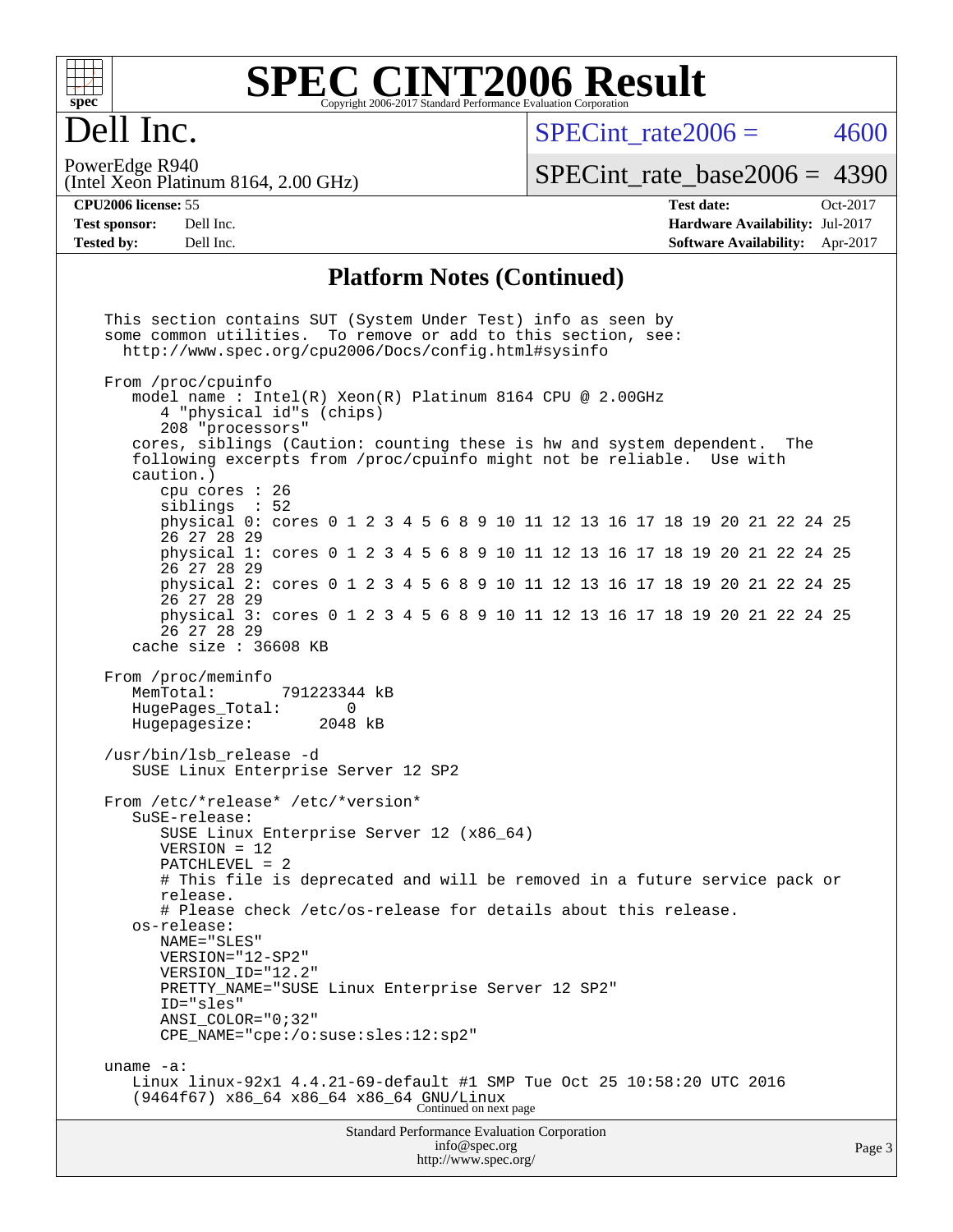| ۰<br>с |  |  |  |  |  |
|--------|--|--|--|--|--|

### **spec [SPEC CINT2006 Result](http://www.spec.org/auto/cpu2006/Docs/result-fields.html#SPECCINT2006Result)** Copyright 2006-2017 Standard Performance Evaluation Corporation

# Dell Inc.

SPECint rate $2006 = 4600$ 

(Intel Xeon Platinum 8164, 2.00 GHz) PowerEdge R940

## [SPECint\\_rate\\_base2006 =](http://www.spec.org/auto/cpu2006/Docs/result-fields.html#SPECintratebase2006) 4390

**[CPU2006 license:](http://www.spec.org/auto/cpu2006/Docs/result-fields.html#CPU2006license)** 55 **[Test date:](http://www.spec.org/auto/cpu2006/Docs/result-fields.html#Testdate)** Oct-2017 **[Test sponsor:](http://www.spec.org/auto/cpu2006/Docs/result-fields.html#Testsponsor)** Dell Inc. **[Hardware Availability:](http://www.spec.org/auto/cpu2006/Docs/result-fields.html#HardwareAvailability)** Jul-2017 **[Tested by:](http://www.spec.org/auto/cpu2006/Docs/result-fields.html#Testedby)** Dell Inc. **[Software Availability:](http://www.spec.org/auto/cpu2006/Docs/result-fields.html#SoftwareAvailability)** Apr-2017

### **[Platform Notes \(Continued\)](http://www.spec.org/auto/cpu2006/Docs/result-fields.html#PlatformNotes)**

Standard Performance Evaluation Corporation [info@spec.org](mailto:info@spec.org) This section contains SUT (System Under Test) info as seen by some common utilities. To remove or add to this section, see: <http://www.spec.org/cpu2006/Docs/config.html#sysinfo> From /proc/cpuinfo model name : Intel(R) Xeon(R) Platinum 8164 CPU @ 2.00GHz 4 "physical id"s (chips) 208 "processors" cores, siblings (Caution: counting these is hw and system dependent. The following excerpts from /proc/cpuinfo might not be reliable. Use with caution.) cpu cores : 26 siblings : 52 physical 0: cores 0 1 2 3 4 5 6 8 9 10 11 12 13 16 17 18 19 20 21 22 24 25 26 27 28 29 physical 1: cores 0 1 2 3 4 5 6 8 9 10 11 12 13 16 17 18 19 20 21 22 24 25 26 27 28 29 physical 2: cores 0 1 2 3 4 5 6 8 9 10 11 12 13 16 17 18 19 20 21 22 24 25 26 27 28 29 physical 3: cores 0 1 2 3 4 5 6 8 9 10 11 12 13 16 17 18 19 20 21 22 24 25 26 27 28 29 cache size : 36608 KB From /proc/meminfo<br>MemTotal: 791223344 kB HugePages\_Total: 0<br>Hugepagesize: 2048 kB Hugepagesize: /usr/bin/lsb\_release -d SUSE Linux Enterprise Server 12 SP2 From /etc/\*release\* /etc/\*version\* SuSE-release: SUSE Linux Enterprise Server 12 (x86\_64) VERSION = 12 PATCHLEVEL = 2 # This file is deprecated and will be removed in a future service pack or release. # Please check /etc/os-release for details about this release. os-release: NAME="SLES" VERSION="12-SP2" VERSION\_ID="12.2" PRETTY\_NAME="SUSE Linux Enterprise Server 12 SP2" ID="sles" ANSI\_COLOR="0;32" CPE\_NAME="cpe:/o:suse:sles:12:sp2" uname -a: Linux linux-92x1 4.4.21-69-default #1 SMP Tue Oct 25 10:58:20 UTC 2016 (9464f67) x86\_64 x86\_64 x86\_64 GNU/Linux Continued on next page

<http://www.spec.org/>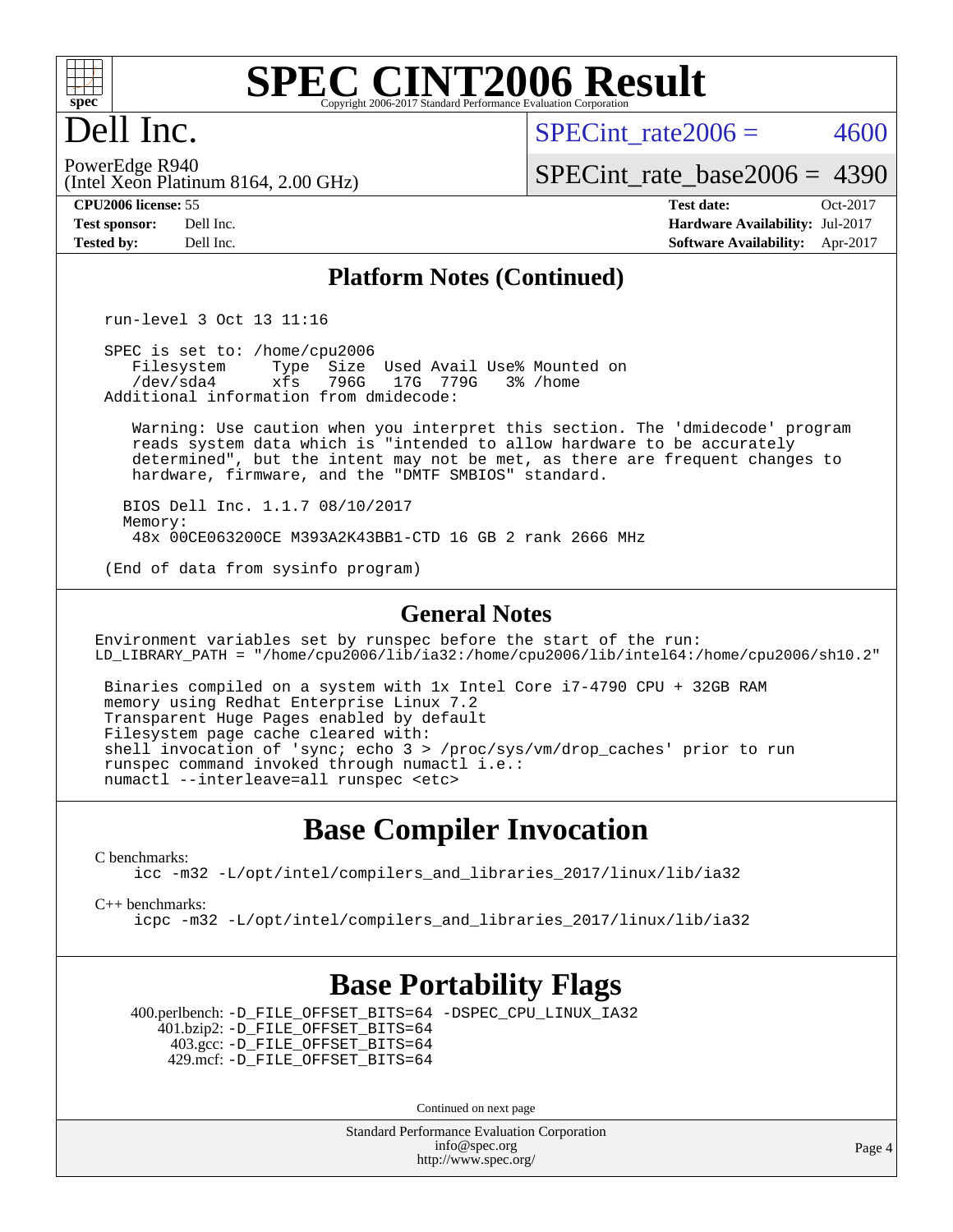

# Dell Inc.

SPECint rate $2006 = 4600$ 

(Intel Xeon Platinum 8164, 2.00 GHz) PowerEdge R940

[SPECint\\_rate\\_base2006 =](http://www.spec.org/auto/cpu2006/Docs/result-fields.html#SPECintratebase2006) 4390

**[CPU2006 license:](http://www.spec.org/auto/cpu2006/Docs/result-fields.html#CPU2006license)** 55 **[Test date:](http://www.spec.org/auto/cpu2006/Docs/result-fields.html#Testdate)** Oct-2017 **[Test sponsor:](http://www.spec.org/auto/cpu2006/Docs/result-fields.html#Testsponsor)** Dell Inc. **[Hardware Availability:](http://www.spec.org/auto/cpu2006/Docs/result-fields.html#HardwareAvailability)** Jul-2017 **[Tested by:](http://www.spec.org/auto/cpu2006/Docs/result-fields.html#Testedby)** Dell Inc. **[Software Availability:](http://www.spec.org/auto/cpu2006/Docs/result-fields.html#SoftwareAvailability)** Apr-2017

### **[Platform Notes \(Continued\)](http://www.spec.org/auto/cpu2006/Docs/result-fields.html#PlatformNotes)**

run-level 3 Oct 13 11:16

SPEC is set to: /home/cpu2006<br>Filesystem Type Size Filesystem Type Size Used Avail Use% Mounted on<br>/dev/sda4 xfs 796G 17G 779G 3% /home xfs 796G 17G 779G Additional information from dmidecode:

 Warning: Use caution when you interpret this section. The 'dmidecode' program reads system data which is "intended to allow hardware to be accurately determined", but the intent may not be met, as there are frequent changes to hardware, firmware, and the "DMTF SMBIOS" standard.

 BIOS Dell Inc. 1.1.7 08/10/2017 Memory: 48x 00CE063200CE M393A2K43BB1-CTD 16 GB 2 rank 2666 MHz

(End of data from sysinfo program)

#### **[General Notes](http://www.spec.org/auto/cpu2006/Docs/result-fields.html#GeneralNotes)**

Environment variables set by runspec before the start of the run: LD\_LIBRARY\_PATH = "/home/cpu2006/lib/ia32:/home/cpu2006/lib/intel64:/home/cpu2006/sh10.2"

 Binaries compiled on a system with 1x Intel Core i7-4790 CPU + 32GB RAM memory using Redhat Enterprise Linux 7.2 Transparent Huge Pages enabled by default Filesystem page cache cleared with: shell invocation of 'sync; echo 3 > /proc/sys/vm/drop\_caches' prior to run runspec command invoked through numactl i.e.: numactl --interleave=all runspec <etc>

### **[Base Compiler Invocation](http://www.spec.org/auto/cpu2006/Docs/result-fields.html#BaseCompilerInvocation)**

[C benchmarks](http://www.spec.org/auto/cpu2006/Docs/result-fields.html#Cbenchmarks):

[icc -m32 -L/opt/intel/compilers\\_and\\_libraries\\_2017/linux/lib/ia32](http://www.spec.org/cpu2006/results/res2017q4/cpu2006-20171030-50378.flags.html#user_CCbase_intel_icc_c29f3ff5a7ed067b11e4ec10a03f03ae)

[C++ benchmarks:](http://www.spec.org/auto/cpu2006/Docs/result-fields.html#CXXbenchmarks)

[icpc -m32 -L/opt/intel/compilers\\_and\\_libraries\\_2017/linux/lib/ia32](http://www.spec.org/cpu2006/results/res2017q4/cpu2006-20171030-50378.flags.html#user_CXXbase_intel_icpc_8c35c7808b62dab9ae41a1aa06361b6b)

### **[Base Portability Flags](http://www.spec.org/auto/cpu2006/Docs/result-fields.html#BasePortabilityFlags)**

 400.perlbench: [-D\\_FILE\\_OFFSET\\_BITS=64](http://www.spec.org/cpu2006/results/res2017q4/cpu2006-20171030-50378.flags.html#user_basePORTABILITY400_perlbench_file_offset_bits_64_438cf9856305ebd76870a2c6dc2689ab) [-DSPEC\\_CPU\\_LINUX\\_IA32](http://www.spec.org/cpu2006/results/res2017q4/cpu2006-20171030-50378.flags.html#b400.perlbench_baseCPORTABILITY_DSPEC_CPU_LINUX_IA32) 401.bzip2: [-D\\_FILE\\_OFFSET\\_BITS=64](http://www.spec.org/cpu2006/results/res2017q4/cpu2006-20171030-50378.flags.html#user_basePORTABILITY401_bzip2_file_offset_bits_64_438cf9856305ebd76870a2c6dc2689ab) 403.gcc: [-D\\_FILE\\_OFFSET\\_BITS=64](http://www.spec.org/cpu2006/results/res2017q4/cpu2006-20171030-50378.flags.html#user_basePORTABILITY403_gcc_file_offset_bits_64_438cf9856305ebd76870a2c6dc2689ab) 429.mcf: [-D\\_FILE\\_OFFSET\\_BITS=64](http://www.spec.org/cpu2006/results/res2017q4/cpu2006-20171030-50378.flags.html#user_basePORTABILITY429_mcf_file_offset_bits_64_438cf9856305ebd76870a2c6dc2689ab)

Continued on next page

Standard Performance Evaluation Corporation [info@spec.org](mailto:info@spec.org) <http://www.spec.org/>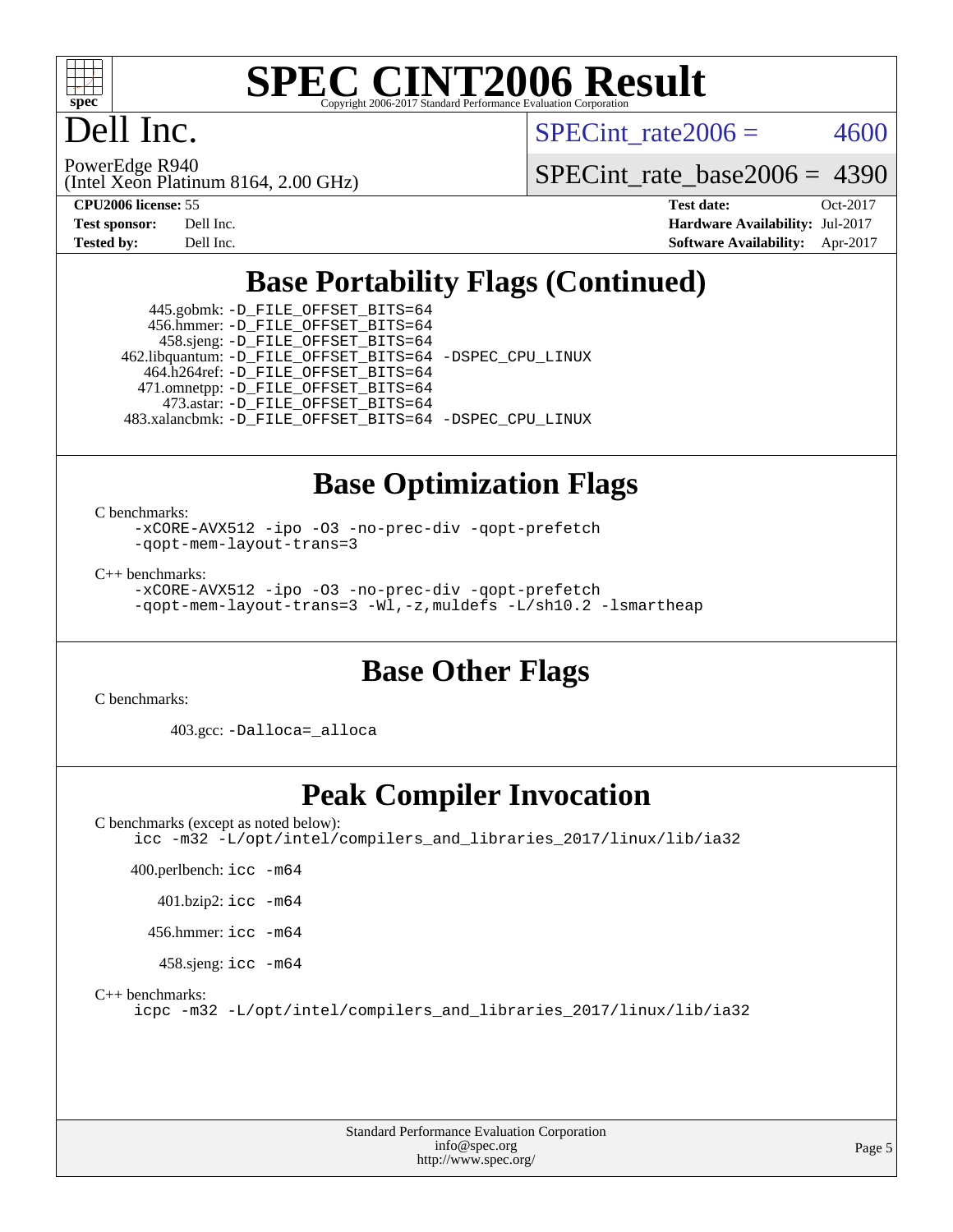

# Dell Inc.

SPECint rate $2006 = 4600$ 

(Intel Xeon Platinum 8164, 2.00 GHz) PowerEdge R940

[SPECint\\_rate\\_base2006 =](http://www.spec.org/auto/cpu2006/Docs/result-fields.html#SPECintratebase2006) 4390

| <b>Test sponsor:</b> | Dell Inc. |
|----------------------|-----------|
| <b>Tested by:</b>    | Dell Inc. |

**[CPU2006 license:](http://www.spec.org/auto/cpu2006/Docs/result-fields.html#CPU2006license)** 55 **[Test date:](http://www.spec.org/auto/cpu2006/Docs/result-fields.html#Testdate)** Oct-2017 **[Hardware Availability:](http://www.spec.org/auto/cpu2006/Docs/result-fields.html#HardwareAvailability)** Jul-2017 **[Software Availability:](http://www.spec.org/auto/cpu2006/Docs/result-fields.html#SoftwareAvailability)** Apr-2017

# **[Base Portability Flags \(Continued\)](http://www.spec.org/auto/cpu2006/Docs/result-fields.html#BasePortabilityFlags)**

 445.gobmk: [-D\\_FILE\\_OFFSET\\_BITS=64](http://www.spec.org/cpu2006/results/res2017q4/cpu2006-20171030-50378.flags.html#user_basePORTABILITY445_gobmk_file_offset_bits_64_438cf9856305ebd76870a2c6dc2689ab) 456.hmmer: [-D\\_FILE\\_OFFSET\\_BITS=64](http://www.spec.org/cpu2006/results/res2017q4/cpu2006-20171030-50378.flags.html#user_basePORTABILITY456_hmmer_file_offset_bits_64_438cf9856305ebd76870a2c6dc2689ab) 458.sjeng: [-D\\_FILE\\_OFFSET\\_BITS=64](http://www.spec.org/cpu2006/results/res2017q4/cpu2006-20171030-50378.flags.html#user_basePORTABILITY458_sjeng_file_offset_bits_64_438cf9856305ebd76870a2c6dc2689ab) 462.libquantum: [-D\\_FILE\\_OFFSET\\_BITS=64](http://www.spec.org/cpu2006/results/res2017q4/cpu2006-20171030-50378.flags.html#user_basePORTABILITY462_libquantum_file_offset_bits_64_438cf9856305ebd76870a2c6dc2689ab) [-DSPEC\\_CPU\\_LINUX](http://www.spec.org/cpu2006/results/res2017q4/cpu2006-20171030-50378.flags.html#b462.libquantum_baseCPORTABILITY_DSPEC_CPU_LINUX) 464.h264ref: [-D\\_FILE\\_OFFSET\\_BITS=64](http://www.spec.org/cpu2006/results/res2017q4/cpu2006-20171030-50378.flags.html#user_basePORTABILITY464_h264ref_file_offset_bits_64_438cf9856305ebd76870a2c6dc2689ab) 471.omnetpp: [-D\\_FILE\\_OFFSET\\_BITS=64](http://www.spec.org/cpu2006/results/res2017q4/cpu2006-20171030-50378.flags.html#user_basePORTABILITY471_omnetpp_file_offset_bits_64_438cf9856305ebd76870a2c6dc2689ab) 473.astar: [-D\\_FILE\\_OFFSET\\_BITS=64](http://www.spec.org/cpu2006/results/res2017q4/cpu2006-20171030-50378.flags.html#user_basePORTABILITY473_astar_file_offset_bits_64_438cf9856305ebd76870a2c6dc2689ab) 483.xalancbmk: [-D\\_FILE\\_OFFSET\\_BITS=64](http://www.spec.org/cpu2006/results/res2017q4/cpu2006-20171030-50378.flags.html#user_basePORTABILITY483_xalancbmk_file_offset_bits_64_438cf9856305ebd76870a2c6dc2689ab) [-DSPEC\\_CPU\\_LINUX](http://www.spec.org/cpu2006/results/res2017q4/cpu2006-20171030-50378.flags.html#b483.xalancbmk_baseCXXPORTABILITY_DSPEC_CPU_LINUX)

# **[Base Optimization Flags](http://www.spec.org/auto/cpu2006/Docs/result-fields.html#BaseOptimizationFlags)**

[C benchmarks](http://www.spec.org/auto/cpu2006/Docs/result-fields.html#Cbenchmarks):

[-xCORE-AVX512](http://www.spec.org/cpu2006/results/res2017q4/cpu2006-20171030-50378.flags.html#user_CCbase_f-xCORE-AVX512) [-ipo](http://www.spec.org/cpu2006/results/res2017q4/cpu2006-20171030-50378.flags.html#user_CCbase_f-ipo) [-O3](http://www.spec.org/cpu2006/results/res2017q4/cpu2006-20171030-50378.flags.html#user_CCbase_f-O3) [-no-prec-div](http://www.spec.org/cpu2006/results/res2017q4/cpu2006-20171030-50378.flags.html#user_CCbase_f-no-prec-div) [-qopt-prefetch](http://www.spec.org/cpu2006/results/res2017q4/cpu2006-20171030-50378.flags.html#user_CCbase_f-qopt-prefetch) [-qopt-mem-layout-trans=3](http://www.spec.org/cpu2006/results/res2017q4/cpu2006-20171030-50378.flags.html#user_CCbase_f-qopt-mem-layout-trans_170f5be61cd2cedc9b54468c59262d5d)

[C++ benchmarks:](http://www.spec.org/auto/cpu2006/Docs/result-fields.html#CXXbenchmarks)

[-xCORE-AVX512](http://www.spec.org/cpu2006/results/res2017q4/cpu2006-20171030-50378.flags.html#user_CXXbase_f-xCORE-AVX512) [-ipo](http://www.spec.org/cpu2006/results/res2017q4/cpu2006-20171030-50378.flags.html#user_CXXbase_f-ipo) [-O3](http://www.spec.org/cpu2006/results/res2017q4/cpu2006-20171030-50378.flags.html#user_CXXbase_f-O3) [-no-prec-div](http://www.spec.org/cpu2006/results/res2017q4/cpu2006-20171030-50378.flags.html#user_CXXbase_f-no-prec-div) [-qopt-prefetch](http://www.spec.org/cpu2006/results/res2017q4/cpu2006-20171030-50378.flags.html#user_CXXbase_f-qopt-prefetch) [-qopt-mem-layout-trans=3](http://www.spec.org/cpu2006/results/res2017q4/cpu2006-20171030-50378.flags.html#user_CXXbase_f-qopt-mem-layout-trans_170f5be61cd2cedc9b54468c59262d5d) [-Wl,-z,muldefs](http://www.spec.org/cpu2006/results/res2017q4/cpu2006-20171030-50378.flags.html#user_CXXbase_link_force_multiple1_74079c344b956b9658436fd1b6dd3a8a) [-L/sh10.2 -lsmartheap](http://www.spec.org/cpu2006/results/res2017q4/cpu2006-20171030-50378.flags.html#user_CXXbase_SmartHeap_b831f2d313e2fffa6dfe3f00ffc1f1c0)

## **[Base Other Flags](http://www.spec.org/auto/cpu2006/Docs/result-fields.html#BaseOtherFlags)**

[C benchmarks](http://www.spec.org/auto/cpu2006/Docs/result-fields.html#Cbenchmarks):

403.gcc: [-Dalloca=\\_alloca](http://www.spec.org/cpu2006/results/res2017q4/cpu2006-20171030-50378.flags.html#b403.gcc_baseEXTRA_CFLAGS_Dalloca_be3056838c12de2578596ca5467af7f3)

# **[Peak Compiler Invocation](http://www.spec.org/auto/cpu2006/Docs/result-fields.html#PeakCompilerInvocation)**

[C benchmarks \(except as noted below\)](http://www.spec.org/auto/cpu2006/Docs/result-fields.html#Cbenchmarksexceptasnotedbelow): [icc -m32 -L/opt/intel/compilers\\_and\\_libraries\\_2017/linux/lib/ia32](http://www.spec.org/cpu2006/results/res2017q4/cpu2006-20171030-50378.flags.html#user_CCpeak_intel_icc_c29f3ff5a7ed067b11e4ec10a03f03ae) 400.perlbench: [icc -m64](http://www.spec.org/cpu2006/results/res2017q4/cpu2006-20171030-50378.flags.html#user_peakCCLD400_perlbench_intel_icc_64bit_bda6cc9af1fdbb0edc3795bac97ada53) 401.bzip2: [icc -m64](http://www.spec.org/cpu2006/results/res2017q4/cpu2006-20171030-50378.flags.html#user_peakCCLD401_bzip2_intel_icc_64bit_bda6cc9af1fdbb0edc3795bac97ada53) 456.hmmer: [icc -m64](http://www.spec.org/cpu2006/results/res2017q4/cpu2006-20171030-50378.flags.html#user_peakCCLD456_hmmer_intel_icc_64bit_bda6cc9af1fdbb0edc3795bac97ada53) 458.sjeng: [icc -m64](http://www.spec.org/cpu2006/results/res2017q4/cpu2006-20171030-50378.flags.html#user_peakCCLD458_sjeng_intel_icc_64bit_bda6cc9af1fdbb0edc3795bac97ada53) [C++ benchmarks:](http://www.spec.org/auto/cpu2006/Docs/result-fields.html#CXXbenchmarks) [icpc -m32 -L/opt/intel/compilers\\_and\\_libraries\\_2017/linux/lib/ia32](http://www.spec.org/cpu2006/results/res2017q4/cpu2006-20171030-50378.flags.html#user_CXXpeak_intel_icpc_8c35c7808b62dab9ae41a1aa06361b6b)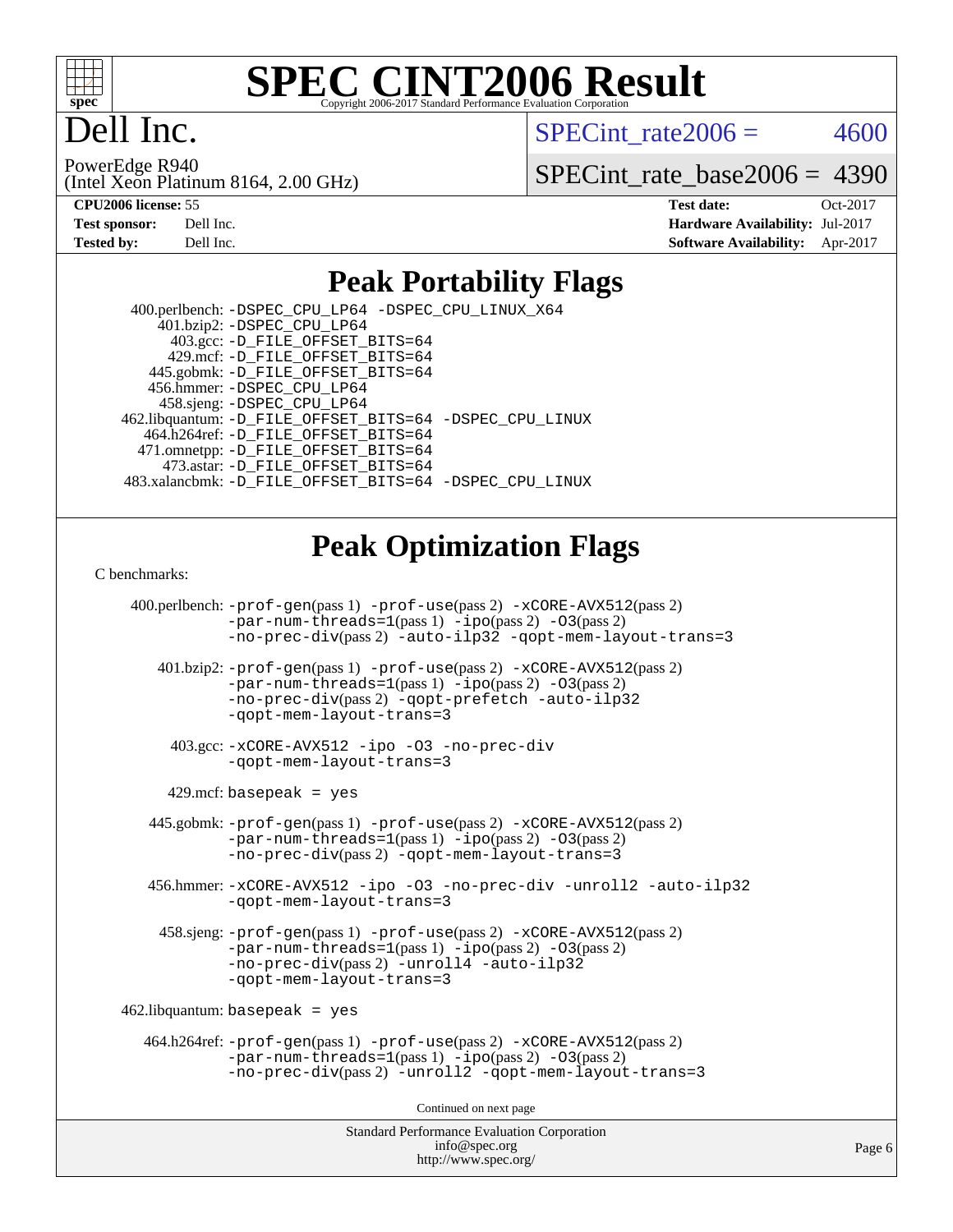

# ell Inc.

SPECint rate $2006 = 4600$ 

(Intel Xeon Platinum 8164, 2.00 GHz) PowerEdge R940

[SPECint\\_rate\\_base2006 =](http://www.spec.org/auto/cpu2006/Docs/result-fields.html#SPECintratebase2006) 4390

| <b>Test sponsor:</b> | Dell Inc. |
|----------------------|-----------|
| <b>Tested by:</b>    | Dell Inc. |

**[CPU2006 license:](http://www.spec.org/auto/cpu2006/Docs/result-fields.html#CPU2006license)** 55 **[Test date:](http://www.spec.org/auto/cpu2006/Docs/result-fields.html#Testdate)** Oct-2017 **[Hardware Availability:](http://www.spec.org/auto/cpu2006/Docs/result-fields.html#HardwareAvailability)** Jul-2017 **[Software Availability:](http://www.spec.org/auto/cpu2006/Docs/result-fields.html#SoftwareAvailability)** Apr-2017

### **[Peak Portability Flags](http://www.spec.org/auto/cpu2006/Docs/result-fields.html#PeakPortabilityFlags)**

 400.perlbench: [-DSPEC\\_CPU\\_LP64](http://www.spec.org/cpu2006/results/res2017q4/cpu2006-20171030-50378.flags.html#b400.perlbench_peakCPORTABILITY_DSPEC_CPU_LP64) [-DSPEC\\_CPU\\_LINUX\\_X64](http://www.spec.org/cpu2006/results/res2017q4/cpu2006-20171030-50378.flags.html#b400.perlbench_peakCPORTABILITY_DSPEC_CPU_LINUX_X64)  $401.bzip2: -DSPEC_CPULP64$  403.gcc: [-D\\_FILE\\_OFFSET\\_BITS=64](http://www.spec.org/cpu2006/results/res2017q4/cpu2006-20171030-50378.flags.html#user_peakPORTABILITY403_gcc_file_offset_bits_64_438cf9856305ebd76870a2c6dc2689ab) 429.mcf: [-D\\_FILE\\_OFFSET\\_BITS=64](http://www.spec.org/cpu2006/results/res2017q4/cpu2006-20171030-50378.flags.html#user_peakPORTABILITY429_mcf_file_offset_bits_64_438cf9856305ebd76870a2c6dc2689ab) 445.gobmk: [-D\\_FILE\\_OFFSET\\_BITS=64](http://www.spec.org/cpu2006/results/res2017q4/cpu2006-20171030-50378.flags.html#user_peakPORTABILITY445_gobmk_file_offset_bits_64_438cf9856305ebd76870a2c6dc2689ab) 456.hmmer: [-DSPEC\\_CPU\\_LP64](http://www.spec.org/cpu2006/results/res2017q4/cpu2006-20171030-50378.flags.html#suite_peakCPORTABILITY456_hmmer_DSPEC_CPU_LP64) 458.sjeng: [-DSPEC\\_CPU\\_LP64](http://www.spec.org/cpu2006/results/res2017q4/cpu2006-20171030-50378.flags.html#suite_peakCPORTABILITY458_sjeng_DSPEC_CPU_LP64) 462.libquantum: [-D\\_FILE\\_OFFSET\\_BITS=64](http://www.spec.org/cpu2006/results/res2017q4/cpu2006-20171030-50378.flags.html#user_peakPORTABILITY462_libquantum_file_offset_bits_64_438cf9856305ebd76870a2c6dc2689ab) [-DSPEC\\_CPU\\_LINUX](http://www.spec.org/cpu2006/results/res2017q4/cpu2006-20171030-50378.flags.html#b462.libquantum_peakCPORTABILITY_DSPEC_CPU_LINUX) 464.h264ref: [-D\\_FILE\\_OFFSET\\_BITS=64](http://www.spec.org/cpu2006/results/res2017q4/cpu2006-20171030-50378.flags.html#user_peakPORTABILITY464_h264ref_file_offset_bits_64_438cf9856305ebd76870a2c6dc2689ab) 471.omnetpp: [-D\\_FILE\\_OFFSET\\_BITS=64](http://www.spec.org/cpu2006/results/res2017q4/cpu2006-20171030-50378.flags.html#user_peakPORTABILITY471_omnetpp_file_offset_bits_64_438cf9856305ebd76870a2c6dc2689ab) 473.astar: [-D\\_FILE\\_OFFSET\\_BITS=64](http://www.spec.org/cpu2006/results/res2017q4/cpu2006-20171030-50378.flags.html#user_peakPORTABILITY473_astar_file_offset_bits_64_438cf9856305ebd76870a2c6dc2689ab) 483.xalancbmk: [-D\\_FILE\\_OFFSET\\_BITS=64](http://www.spec.org/cpu2006/results/res2017q4/cpu2006-20171030-50378.flags.html#user_peakPORTABILITY483_xalancbmk_file_offset_bits_64_438cf9856305ebd76870a2c6dc2689ab) [-DSPEC\\_CPU\\_LINUX](http://www.spec.org/cpu2006/results/res2017q4/cpu2006-20171030-50378.flags.html#b483.xalancbmk_peakCXXPORTABILITY_DSPEC_CPU_LINUX)

### **[Peak Optimization Flags](http://www.spec.org/auto/cpu2006/Docs/result-fields.html#PeakOptimizationFlags)**

[C benchmarks](http://www.spec.org/auto/cpu2006/Docs/result-fields.html#Cbenchmarks):

Standard Performance Evaluation Corporation 400.perlbench: [-prof-gen](http://www.spec.org/cpu2006/results/res2017q4/cpu2006-20171030-50378.flags.html#user_peakPASS1_CFLAGSPASS1_LDCFLAGS400_perlbench_prof_gen_e43856698f6ca7b7e442dfd80e94a8fc)(pass 1) [-prof-use](http://www.spec.org/cpu2006/results/res2017q4/cpu2006-20171030-50378.flags.html#user_peakPASS2_CFLAGSPASS2_LDCFLAGS400_perlbench_prof_use_bccf7792157ff70d64e32fe3e1250b55)(pass 2) [-xCORE-AVX512](http://www.spec.org/cpu2006/results/res2017q4/cpu2006-20171030-50378.flags.html#user_peakPASS2_CFLAGSPASS2_LDCFLAGS400_perlbench_f-xCORE-AVX512)(pass 2) [-par-num-threads=1](http://www.spec.org/cpu2006/results/res2017q4/cpu2006-20171030-50378.flags.html#user_peakPASS1_CFLAGSPASS1_LDCFLAGS400_perlbench_par_num_threads_786a6ff141b4e9e90432e998842df6c2)(pass 1) [-ipo](http://www.spec.org/cpu2006/results/res2017q4/cpu2006-20171030-50378.flags.html#user_peakPASS2_CFLAGSPASS2_LDCFLAGS400_perlbench_f-ipo)(pass 2) [-O3](http://www.spec.org/cpu2006/results/res2017q4/cpu2006-20171030-50378.flags.html#user_peakPASS2_CFLAGSPASS2_LDCFLAGS400_perlbench_f-O3)(pass 2) [-no-prec-div](http://www.spec.org/cpu2006/results/res2017q4/cpu2006-20171030-50378.flags.html#user_peakPASS2_CFLAGSPASS2_LDCFLAGS400_perlbench_f-no-prec-div)(pass 2) [-auto-ilp32](http://www.spec.org/cpu2006/results/res2017q4/cpu2006-20171030-50378.flags.html#user_peakCOPTIMIZE400_perlbench_f-auto-ilp32) [-qopt-mem-layout-trans=3](http://www.spec.org/cpu2006/results/res2017q4/cpu2006-20171030-50378.flags.html#user_peakCOPTIMIZE400_perlbench_f-qopt-mem-layout-trans_170f5be61cd2cedc9b54468c59262d5d) 401.bzip2: [-prof-gen](http://www.spec.org/cpu2006/results/res2017q4/cpu2006-20171030-50378.flags.html#user_peakPASS1_CFLAGSPASS1_LDCFLAGS401_bzip2_prof_gen_e43856698f6ca7b7e442dfd80e94a8fc)(pass 1) [-prof-use](http://www.spec.org/cpu2006/results/res2017q4/cpu2006-20171030-50378.flags.html#user_peakPASS2_CFLAGSPASS2_LDCFLAGS401_bzip2_prof_use_bccf7792157ff70d64e32fe3e1250b55)(pass 2) [-xCORE-AVX512](http://www.spec.org/cpu2006/results/res2017q4/cpu2006-20171030-50378.flags.html#user_peakPASS2_CFLAGSPASS2_LDCFLAGS401_bzip2_f-xCORE-AVX512)(pass 2) [-par-num-threads=1](http://www.spec.org/cpu2006/results/res2017q4/cpu2006-20171030-50378.flags.html#user_peakPASS1_CFLAGSPASS1_LDCFLAGS401_bzip2_par_num_threads_786a6ff141b4e9e90432e998842df6c2)(pass 1) [-ipo](http://www.spec.org/cpu2006/results/res2017q4/cpu2006-20171030-50378.flags.html#user_peakPASS2_CFLAGSPASS2_LDCFLAGS401_bzip2_f-ipo)(pass 2) [-O3](http://www.spec.org/cpu2006/results/res2017q4/cpu2006-20171030-50378.flags.html#user_peakPASS2_CFLAGSPASS2_LDCFLAGS401_bzip2_f-O3)(pass 2) [-no-prec-div](http://www.spec.org/cpu2006/results/res2017q4/cpu2006-20171030-50378.flags.html#user_peakPASS2_CFLAGSPASS2_LDCFLAGS401_bzip2_f-no-prec-div)(pass 2) [-qopt-prefetch](http://www.spec.org/cpu2006/results/res2017q4/cpu2006-20171030-50378.flags.html#user_peakCOPTIMIZE401_bzip2_f-qopt-prefetch) [-auto-ilp32](http://www.spec.org/cpu2006/results/res2017q4/cpu2006-20171030-50378.flags.html#user_peakCOPTIMIZE401_bzip2_f-auto-ilp32) [-qopt-mem-layout-trans=3](http://www.spec.org/cpu2006/results/res2017q4/cpu2006-20171030-50378.flags.html#user_peakCOPTIMIZE401_bzip2_f-qopt-mem-layout-trans_170f5be61cd2cedc9b54468c59262d5d) 403.gcc: [-xCORE-AVX512](http://www.spec.org/cpu2006/results/res2017q4/cpu2006-20171030-50378.flags.html#user_peakOPTIMIZE403_gcc_f-xCORE-AVX512) [-ipo](http://www.spec.org/cpu2006/results/res2017q4/cpu2006-20171030-50378.flags.html#user_peakOPTIMIZE403_gcc_f-ipo) [-O3](http://www.spec.org/cpu2006/results/res2017q4/cpu2006-20171030-50378.flags.html#user_peakOPTIMIZE403_gcc_f-O3) [-no-prec-div](http://www.spec.org/cpu2006/results/res2017q4/cpu2006-20171030-50378.flags.html#user_peakOPTIMIZE403_gcc_f-no-prec-div) [-qopt-mem-layout-trans=3](http://www.spec.org/cpu2006/results/res2017q4/cpu2006-20171030-50378.flags.html#user_peakCOPTIMIZE403_gcc_f-qopt-mem-layout-trans_170f5be61cd2cedc9b54468c59262d5d)  $429$ .mcf: basepeak = yes 445.gobmk: [-prof-gen](http://www.spec.org/cpu2006/results/res2017q4/cpu2006-20171030-50378.flags.html#user_peakPASS1_CFLAGSPASS1_LDCFLAGS445_gobmk_prof_gen_e43856698f6ca7b7e442dfd80e94a8fc)(pass 1) [-prof-use](http://www.spec.org/cpu2006/results/res2017q4/cpu2006-20171030-50378.flags.html#user_peakPASS2_CFLAGSPASS2_LDCFLAGSPASS2_LDFLAGS445_gobmk_prof_use_bccf7792157ff70d64e32fe3e1250b55)(pass 2) [-xCORE-AVX512](http://www.spec.org/cpu2006/results/res2017q4/cpu2006-20171030-50378.flags.html#user_peakPASS2_CFLAGSPASS2_LDCFLAGSPASS2_LDFLAGS445_gobmk_f-xCORE-AVX512)(pass 2) [-par-num-threads=1](http://www.spec.org/cpu2006/results/res2017q4/cpu2006-20171030-50378.flags.html#user_peakPASS1_CFLAGSPASS1_LDCFLAGS445_gobmk_par_num_threads_786a6ff141b4e9e90432e998842df6c2)(pass 1) [-ipo](http://www.spec.org/cpu2006/results/res2017q4/cpu2006-20171030-50378.flags.html#user_peakPASS2_LDCFLAGS445_gobmk_f-ipo)(pass 2) [-O3](http://www.spec.org/cpu2006/results/res2017q4/cpu2006-20171030-50378.flags.html#user_peakPASS2_LDCFLAGS445_gobmk_f-O3)(pass 2) [-no-prec-div](http://www.spec.org/cpu2006/results/res2017q4/cpu2006-20171030-50378.flags.html#user_peakPASS2_LDCFLAGS445_gobmk_f-no-prec-div)(pass 2) [-qopt-mem-layout-trans=3](http://www.spec.org/cpu2006/results/res2017q4/cpu2006-20171030-50378.flags.html#user_peakCOPTIMIZE445_gobmk_f-qopt-mem-layout-trans_170f5be61cd2cedc9b54468c59262d5d) 456.hmmer: [-xCORE-AVX512](http://www.spec.org/cpu2006/results/res2017q4/cpu2006-20171030-50378.flags.html#user_peakOPTIMIZE456_hmmer_f-xCORE-AVX512) [-ipo](http://www.spec.org/cpu2006/results/res2017q4/cpu2006-20171030-50378.flags.html#user_peakOPTIMIZE456_hmmer_f-ipo) [-O3](http://www.spec.org/cpu2006/results/res2017q4/cpu2006-20171030-50378.flags.html#user_peakOPTIMIZE456_hmmer_f-O3) [-no-prec-div](http://www.spec.org/cpu2006/results/res2017q4/cpu2006-20171030-50378.flags.html#user_peakOPTIMIZE456_hmmer_f-no-prec-div) [-unroll2](http://www.spec.org/cpu2006/results/res2017q4/cpu2006-20171030-50378.flags.html#user_peakCOPTIMIZE456_hmmer_f-unroll_784dae83bebfb236979b41d2422d7ec2) [-auto-ilp32](http://www.spec.org/cpu2006/results/res2017q4/cpu2006-20171030-50378.flags.html#user_peakCOPTIMIZE456_hmmer_f-auto-ilp32) [-qopt-mem-layout-trans=3](http://www.spec.org/cpu2006/results/res2017q4/cpu2006-20171030-50378.flags.html#user_peakCOPTIMIZE456_hmmer_f-qopt-mem-layout-trans_170f5be61cd2cedc9b54468c59262d5d) 458.sjeng: [-prof-gen](http://www.spec.org/cpu2006/results/res2017q4/cpu2006-20171030-50378.flags.html#user_peakPASS1_CFLAGSPASS1_LDCFLAGS458_sjeng_prof_gen_e43856698f6ca7b7e442dfd80e94a8fc)(pass 1) [-prof-use](http://www.spec.org/cpu2006/results/res2017q4/cpu2006-20171030-50378.flags.html#user_peakPASS2_CFLAGSPASS2_LDCFLAGS458_sjeng_prof_use_bccf7792157ff70d64e32fe3e1250b55)(pass 2) [-xCORE-AVX512](http://www.spec.org/cpu2006/results/res2017q4/cpu2006-20171030-50378.flags.html#user_peakPASS2_CFLAGSPASS2_LDCFLAGS458_sjeng_f-xCORE-AVX512)(pass 2) [-par-num-threads=1](http://www.spec.org/cpu2006/results/res2017q4/cpu2006-20171030-50378.flags.html#user_peakPASS1_CFLAGSPASS1_LDCFLAGS458_sjeng_par_num_threads_786a6ff141b4e9e90432e998842df6c2)(pass 1) [-ipo](http://www.spec.org/cpu2006/results/res2017q4/cpu2006-20171030-50378.flags.html#user_peakPASS2_CFLAGSPASS2_LDCFLAGS458_sjeng_f-ipo)(pass 2) [-O3](http://www.spec.org/cpu2006/results/res2017q4/cpu2006-20171030-50378.flags.html#user_peakPASS2_CFLAGSPASS2_LDCFLAGS458_sjeng_f-O3)(pass 2) [-no-prec-div](http://www.spec.org/cpu2006/results/res2017q4/cpu2006-20171030-50378.flags.html#user_peakPASS2_CFLAGSPASS2_LDCFLAGS458_sjeng_f-no-prec-div)(pass 2) [-unroll4](http://www.spec.org/cpu2006/results/res2017q4/cpu2006-20171030-50378.flags.html#user_peakCOPTIMIZE458_sjeng_f-unroll_4e5e4ed65b7fd20bdcd365bec371b81f) [-auto-ilp32](http://www.spec.org/cpu2006/results/res2017q4/cpu2006-20171030-50378.flags.html#user_peakCOPTIMIZE458_sjeng_f-auto-ilp32) [-qopt-mem-layout-trans=3](http://www.spec.org/cpu2006/results/res2017q4/cpu2006-20171030-50378.flags.html#user_peakCOPTIMIZE458_sjeng_f-qopt-mem-layout-trans_170f5be61cd2cedc9b54468c59262d5d)  $462$ .libquantum: basepeak = yes 464.h264ref: [-prof-gen](http://www.spec.org/cpu2006/results/res2017q4/cpu2006-20171030-50378.flags.html#user_peakPASS1_CFLAGSPASS1_LDCFLAGS464_h264ref_prof_gen_e43856698f6ca7b7e442dfd80e94a8fc)(pass 1) [-prof-use](http://www.spec.org/cpu2006/results/res2017q4/cpu2006-20171030-50378.flags.html#user_peakPASS2_CFLAGSPASS2_LDCFLAGS464_h264ref_prof_use_bccf7792157ff70d64e32fe3e1250b55)(pass 2) [-xCORE-AVX512](http://www.spec.org/cpu2006/results/res2017q4/cpu2006-20171030-50378.flags.html#user_peakPASS2_CFLAGSPASS2_LDCFLAGS464_h264ref_f-xCORE-AVX512)(pass 2)  $-par-num-threads=1(pass 1) -ipo(pass 2) -O3(pass 2)$  $-par-num-threads=1(pass 1) -ipo(pass 2) -O3(pass 2)$  $-par-num-threads=1(pass 1) -ipo(pass 2) -O3(pass 2)$  $-par-num-threads=1(pass 1) -ipo(pass 2) -O3(pass 2)$  $-par-num-threads=1(pass 1) -ipo(pass 2) -O3(pass 2)$  $-par-num-threads=1(pass 1) -ipo(pass 2) -O3(pass 2)$ [-no-prec-div](http://www.spec.org/cpu2006/results/res2017q4/cpu2006-20171030-50378.flags.html#user_peakPASS2_CFLAGSPASS2_LDCFLAGS464_h264ref_f-no-prec-div)(pass 2) [-unroll2](http://www.spec.org/cpu2006/results/res2017q4/cpu2006-20171030-50378.flags.html#user_peakCOPTIMIZE464_h264ref_f-unroll_784dae83bebfb236979b41d2422d7ec2) [-qopt-mem-layout-trans=3](http://www.spec.org/cpu2006/results/res2017q4/cpu2006-20171030-50378.flags.html#user_peakCOPTIMIZE464_h264ref_f-qopt-mem-layout-trans_170f5be61cd2cedc9b54468c59262d5d) Continued on next page

[info@spec.org](mailto:info@spec.org) <http://www.spec.org/>